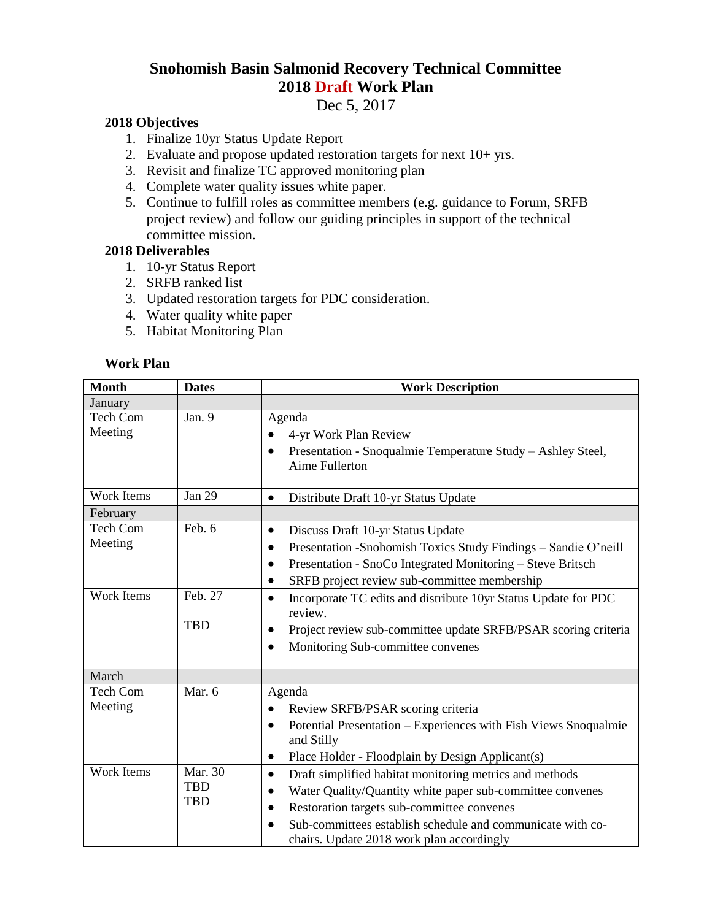## **Snohomish Basin Salmonid Recovery Technical Committee 2018 Draft Work Plan**

Dec 5, 2017

## **2018 Objectives**

- 1. Finalize 10yr Status Update Report
- 2. Evaluate and propose updated restoration targets for next  $10+$  yrs.
- 3. Revisit and finalize TC approved monitoring plan
- 4. Complete water quality issues white paper.
- 5. Continue to fulfill roles as committee members (e.g. guidance to Forum, SRFB project review) and follow our guiding principles in support of the technical committee mission.

## **2018 Deliverables**

- 1. 10-yr Status Report
- 2. SRFB ranked list
- 3. Updated restoration targets for PDC consideration.
- 4. Water quality white paper
- 5. Habitat Monitoring Plan

## **Work Plan**

| <b>Month</b>               | <b>Dates</b>                        | <b>Work Description</b>                                                                                                                                                                                                                                                                                                           |
|----------------------------|-------------------------------------|-----------------------------------------------------------------------------------------------------------------------------------------------------------------------------------------------------------------------------------------------------------------------------------------------------------------------------------|
| January                    |                                     |                                                                                                                                                                                                                                                                                                                                   |
| Tech Com<br>Meeting        | Jan. 9                              | Agenda<br>4-yr Work Plan Review<br>Presentation - Snoqualmie Temperature Study - Ashley Steel,<br>$\bullet$<br>Aime Fullerton                                                                                                                                                                                                     |
| Work Items                 | Jan 29                              | Distribute Draft 10-yr Status Update<br>$\bullet$                                                                                                                                                                                                                                                                                 |
| February                   |                                     |                                                                                                                                                                                                                                                                                                                                   |
| <b>Tech Com</b><br>Meeting | Feb. 6                              | Discuss Draft 10-yr Status Update<br>$\bullet$<br>Presentation - Snohomish Toxics Study Findings - Sandie O'neill<br>Presentation - SnoCo Integrated Monitoring - Steve Britsch<br>SRFB project review sub-committee membership<br>$\bullet$                                                                                      |
| Work Items                 | Feb. 27<br><b>TBD</b>               | Incorporate TC edits and distribute 10yr Status Update for PDC<br>$\bullet$<br>review.<br>Project review sub-committee update SRFB/PSAR scoring criteria<br>Monitoring Sub-committee convenes<br>$\bullet$                                                                                                                        |
| March                      |                                     |                                                                                                                                                                                                                                                                                                                                   |
| <b>Tech Com</b><br>Meeting | Mar. 6                              | Agenda<br>Review SRFB/PSAR scoring criteria<br>Potential Presentation - Experiences with Fish Views Snoqualmie<br>٠<br>and Stilly<br>Place Holder - Floodplain by Design Applicant(s)<br>$\bullet$                                                                                                                                |
| Work Items                 | Mar. 30<br><b>TBD</b><br><b>TBD</b> | Draft simplified habitat monitoring metrics and methods<br>$\bullet$<br>Water Quality/Quantity white paper sub-committee convenes<br>$\bullet$<br>Restoration targets sub-committee convenes<br>$\bullet$<br>Sub-committees establish schedule and communicate with co-<br>$\bullet$<br>chairs. Update 2018 work plan accordingly |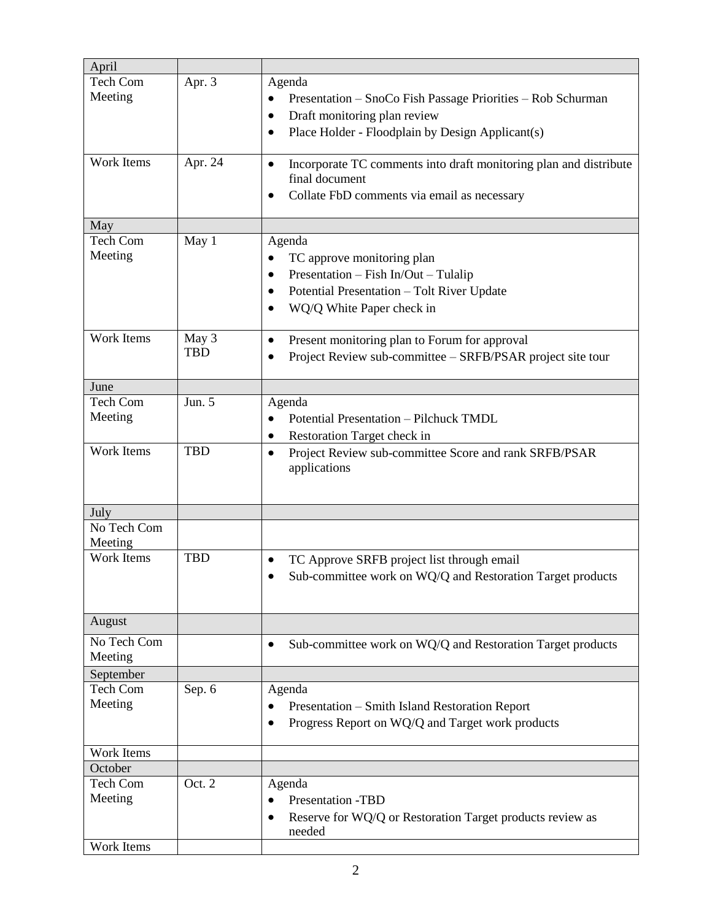| April             |            |                                                                   |
|-------------------|------------|-------------------------------------------------------------------|
| Tech Com          | Apr. 3     | Agenda                                                            |
| Meeting           |            | Presentation - SnoCo Fish Passage Priorities - Rob Schurman       |
|                   |            | Draft monitoring plan review                                      |
|                   |            |                                                                   |
|                   |            | Place Holder - Floodplain by Design Applicant(s)<br>٠             |
| Work Items        | Apr. 24    | Incorporate TC comments into draft monitoring plan and distribute |
|                   |            | final document                                                    |
|                   |            | Collate FbD comments via email as necessary                       |
|                   |            |                                                                   |
| May               |            |                                                                   |
| Tech Com          | May 1      | Agenda                                                            |
| Meeting           |            |                                                                   |
|                   |            | TC approve monitoring plan                                        |
|                   |            | Presentation - Fish In/Out - Tulalip                              |
|                   |            | Potential Presentation - Tolt River Update<br>$\bullet$           |
|                   |            | WQ/Q White Paper check in                                         |
|                   |            |                                                                   |
| Work Items        | May 3      | Present monitoring plan to Forum for approval<br>٠                |
|                   | <b>TBD</b> | Project Review sub-committee - SRFB/PSAR project site tour        |
|                   |            |                                                                   |
| June              |            |                                                                   |
| <b>Tech Com</b>   | Jun. 5     | Agenda                                                            |
| Meeting           |            | Potential Presentation - Pilchuck TMDL                            |
|                   |            |                                                                   |
| Work Items        | <b>TBD</b> | Restoration Target check in                                       |
|                   |            | Project Review sub-committee Score and rank SRFB/PSAR<br>٠        |
|                   |            | applications                                                      |
|                   |            |                                                                   |
| July              |            |                                                                   |
| No Tech Com       |            |                                                                   |
| Meeting           |            |                                                                   |
| <b>Work Items</b> | <b>TBD</b> |                                                                   |
|                   |            | TC Approve SRFB project list through email                        |
|                   |            | Sub-committee work on WQ/Q and Restoration Target products        |
|                   |            |                                                                   |
|                   |            |                                                                   |
| August            |            |                                                                   |
| No Tech Com       |            | Sub-committee work on WQ/Q and Restoration Target products<br>٠   |
| Meeting           |            |                                                                   |
| September         |            |                                                                   |
| Tech Com          | Sep. 6     | Agenda                                                            |
| Meeting           |            | Presentation - Smith Island Restoration Report                    |
|                   |            | Progress Report on WQ/Q and Target work products                  |
|                   |            |                                                                   |
| Work Items        |            |                                                                   |
| October           |            |                                                                   |
| Tech Com          | Oct. 2     | Agenda                                                            |
| Meeting           |            | Presentation -TBD<br>$\bullet$                                    |
|                   |            | Reserve for WQ/Q or Restoration Target products review as         |
|                   |            | needed                                                            |
| Work Items        |            |                                                                   |
|                   |            |                                                                   |